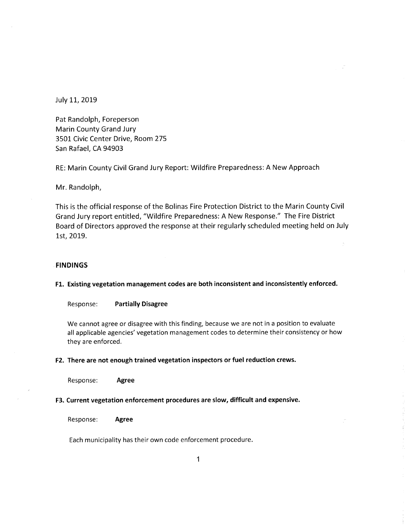July 11, 2019

Pat Randolph, Foreperson Marin County Grand Jury 3501 Civic Center Drive, Room 275 San Rafael, CA 94903

RE: Marin County Civil Grand Jury Report: Wildfire Preparedness: A New Approach

Mr. Randolph,

This is the official response of the Bolinas Fire Protection District to the Marin County Civil Grand Jury report entitled, "Wildfire Preparedness: A New Response." The Fire District Board of Directors approved the response at their regularly scheduled meeting held on July 1st, 2019.

#### **FINDINGS**

### **Fl. Existing vegetation management codes are both inconsistent and inconsistently enforced.**

Response: **Partially Disagree** 

We cannot agree or disagree with this finding, because we are not in a position to evaluate all applicable agencies' vegetation management codes to determine their consistency or how they are enforced.

#### **F2. There are not enough trained vegetation inspectors or fuel reduction crews.**

Response: **Agree** 

#### **F3. Current vegetation enforcement procedures are slow, difficult and expensive.**

Response: **Agree** 

Each municipality has their own code enforcement procedure.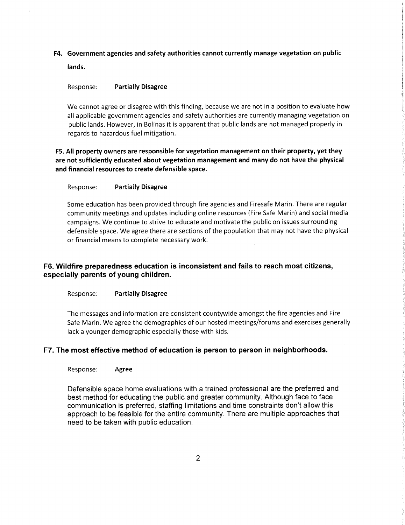**F4. Government agencies and safety authorities cannot currently manage vegetation on public lands.** 

### Response: **Partially Disagree**

We cannot agree or disagree with this finding, because we are not in a position to evaluate how all applicable government agencies and safety authorities are currently managing vegetation on public lands. However, in Bolinas it is apparent that public lands are not managed properly in regards to hazardous fuel mitigation.

**FS. All property owners are responsible for vegetation management on their property, yet they are not sufficiently educated about vegetation management and many do not have the physical and financial resources to create defensible space.** 

#### Response: **Partially Disagree**

Some education has been provided through fire agencies and Firesafe Marin. There are regular community meetings and updates including online resources (Fire Safe Marin) and social media campaigns. We continue to strive to educate and motivate the public on issues surrounding defensible space. We agree there are sections of the population that may not have the physical or financial means to complete necessary work.

## **F6. Wildfire preparedness education is inconsistent and fails to reach most citizens, especially parents of young children.**

#### Response: **Partially Disagree**

The messages and information are consistent countywide amongst the fire agencies and Fire Safe Marin. We agree the demographics of our hosted meetings/forums and exercises generally lack a younger demographic especially those with kids.

### **F7. The most effective method of education is person to person in neighborhoods.**

Response: **Agree** 

Defensible space home evaluations with a trained professional are the preferred and best method for educating the public and greater community. Although face to face communication is preferred, staffing limitations and time constraints don't allow this approach to be feasible for the entire community. There are multiple approaches that need to be taken with public education.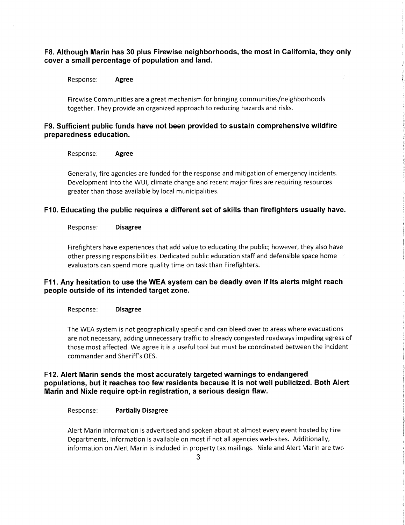F8. Although Marin has 30 plus Firewise neighborhoods, the most in California, they only **cover a small percentage of population and land.** 

Response: **Agree** 

Firewise Communities are a great mechanism for bringing communities/neighborhoods together. They provide an organized approach to reducing hazards and risks.

# **F9. Sufficient public funds have not been provided to sustain comprehensive wildfire preparedness education.**

Response: **Agree** 

Generally, fire agencies are funded for the response and mitigation of emergency incidents. Development into the WUI, climate change and recent major fires are requiring resources greater than those available by local municipalities.

## **F10. Educating the public requires a different set of skills than firefighters usually have.**

#### Response: **Disagree**

Firefighters have experiences that add value to educating the public; however, they also have other pressing responsibilities. Dedicated public education staff and defensible space home evaluators can spend more quality time on task than Firefighters.

# **F11. Any hesitation to use the WEA system can be deadly even if its alerts might reach people outside of its intended target zone.**

#### Response: **Disagree**

The WEA system is not geographically specific and can bleed over to areas where evacuations are not necessary, adding unnecessary traffic to already congested roadways impeding egress of those most affected. We agree it is a useful tool but must be coordinated between the incident commander and Sheriff's OES.

# **F12. Alert Marin sends the most accurately targeted warnings to endangered populations, but it reaches too few residents because it is not well publicized. Both Alert Marin and Nixle require opt-in registration, a serious design flaw.**

Response: **Partially Disagree** 

Alert Marin information is advertised and spoken about at almost every event hosted by Fire Departments, information is available on most if not all agencies web-sites. Additionally, information on Alert Marin is included in property tax mailings. Nixle and Alert Marin are two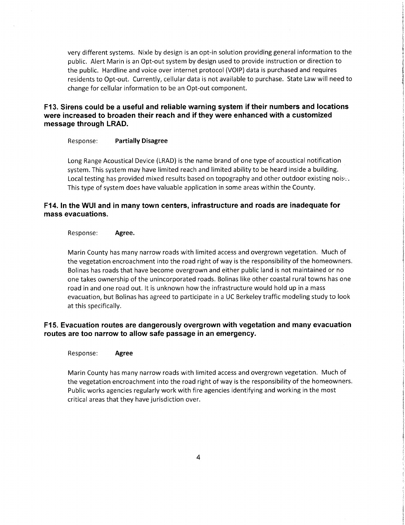very different systems. Nixie by design is an opt-in solution providing general information to the public. Alert Marin is an Opt-out system by design used to provide instruction or direction to the public. Hardline and voice over internet protocol (VOIP) data is purchased and requires residents to Opt-out. Currently, cellular data is not available to purchase. State Law will need to change for cellular information to be an Opt-out component.

**F13. Sirens could be a useful and reliable warning system if their numbers and locations were increased to broaden their reach and if they were enhanced with a customized message through LRAD.** 

#### Response: **Partially Disagree**

Long Range Acoustical Device (LRAD) is the name brand of one type of acoustical notification system. This system may have limited reach and limited ability to be heard inside a building. Local testing has provided mixed results based on topography and other outdoor existing nois... This type of system does have valuable application in some areas within the County.

# **F14. In the WUI and in many town centers, infrastructure and roads are inadequate for mass evacuations.**

#### Response: **Agree.**

Marin County has many narrow roads with limited access and overgrown vegetation. Much of the vegetation encroachment into the road right of way is the responsibility of the homeowners. Bolinas has roads that have become overgrown and either public land is not maintained or no one takes ownership of the unincorporated roads. Bolinas like other coastal rural towns has one road in and one road out. It is unknown how the infrastructure would hold up in a mass evacuation, but Bolinas has agreed to participate in a UC Berkeley traffic modeling study to look at this specifically.

# **F15. Evacuation routes are dangerously overgrown with vegetation and many evacuation routes are too narrow to allow safe passage in an emergency.**

#### Response: **Agree**

Marin County has many narrow roads with limited access and overgrown vegetation. Much of the vegetation encroachment into the road right of way is the responsibility of the homeowners. Public works agencies regularly work with fire agencies identifying and working in the most critical areas that they have jurisdiction over.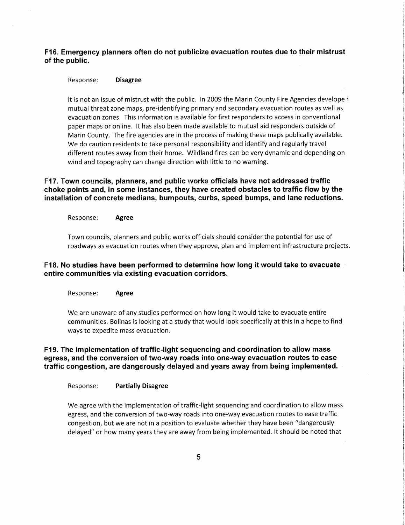# **F16. Emergency planners often do not publicize evacuation routes due to their mistrust of the public.**

#### Response: **Disagree**

It is not an issue of mistrust with the public. In 2009 the Marin County Fire Agencies developed mutual threat zone maps, pre-identifying primary and secondary evacuation routes as well as evacuation zones. This information is available for first responders to access in conventional paper maps or online. It has also been made available to mutual aid responders outside of Marin County. The fire agencies are in the process of making these maps publically available. We do caution residents to take personal responsibility and identify and regularly travel different routes away from their home. Wildland fires can be very dynamic and depending on wind and topography can change direction with little to no warning.

# **F17. Town councils, planners, and public works officials have not addressed traffic choke points and, in some instances, they have created obstacles to traffic flow by the installation of concrete medians, bumpouts, curbs, speed bumps, and lane reductions.**

Response: **Agree** 

Town councils, planners and public works officials should consider the potential for use of roadways as evacuation routes when they approve, plan and implement infrastructure projects.

# **F18. No studies have been performed to determine how long it would take to evacuate entire communities via existing evacuation corridors.**

Response: **Agree** 

We are unaware of any studies performed on how long it would take to evacuate entire communities. Bolinas is looking at a study that would look specifically at this in a hope to find ways to expedite mass evacuation.

# **F19. The implementation of traffic-light sequencing and coordination to allow mass egress, and the conversion of two-way roads into one-way evacuation routes to ease traffic congestion, are dangerously delayed and years away from being implemented.**

### Response: **Partially Disagree**

We agree with the implementation of traffic-light sequencing and coordination to allow mass egress, and the conversion of two-way roads into one-way evacuation routes to ease traffic congestion, but we are not in a position to evaluate whether they have been "dangerously delayed" or how many years they are away from being implemented. It should be noted that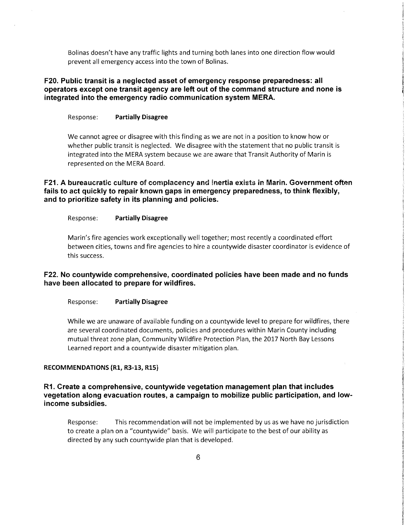Bolinas doesn't have any traffic lights and turning both lanes into one direction flow would prevent all emergency access into the town of Bolinas.

# **F20. Public transit is a neglected asset of emergency response preparedness: all operators except one transit agency are left out of the command structure and none is integrated into the emergency radio communication system MERA.**

#### Response: Partially Disagree

We cannot agree or disagree with this finding as we are not in a position to know how or whether public transit is neglected. We disagree with the statement that no public transit is integrated into the MERA system because we are aware that Transit Authority of Marin is represented on the MERA Board.

### **F21. A bureaucratic culture of complacency and inertia exists in Mann. Government often fails to act quickly to repair known gaps in emergency preparedness, to think flexibly, and to prioritize safety in its planning and policies.**

### Response: Partially Disagree

Marin's fire agencies work exceptionally well together; most recently a coordinated effort between cities, towns and fire agencies to hire a countywide disaster coordinator is evidence of this success.

### **F22. No countywide comprehensive, coordinated policies have been made and no funds have been allocated to prepare for wildfires.**

Response: Partially Disagree

While we are unaware of available funding on a countywide level to prepare for wildfires, there are several coordinated documents, policies and procedures within Marin County including mutual threat zone plan, Community Wildfire Protection Plan, the 2017 North Bay Lessons Learned report and a countywide disaster mitigation plan.

#### **RECOMMENDATIONS (R1, R3-13, R15)**

### **R1. Create a comprehensive, countywide vegetation management plan that includes vegetation along evacuation routes, a campaign to mobilize public participation, and lowincome subsidies.**

Response: This recommendation will not be implemented by us as we have no jurisdiction to create a plan on a "countywide" basis. We will participate to the best of our ability as directed by any such countywide plan that is developed.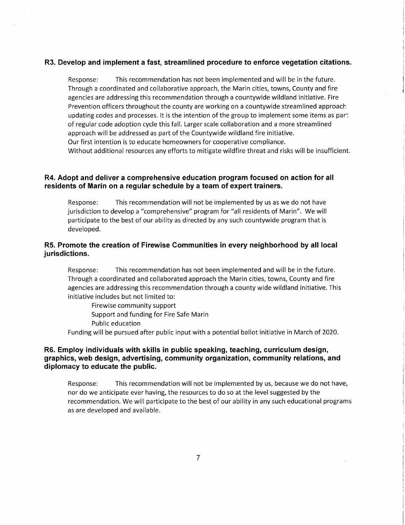# **R3. Develop and implement a fast, streamlined procedure to enforce vegetation citations.**

Response: This recommendation has not been implemented and will be in the future. Through a coordinated and collaborative approach, the Marin cities, towns, County and fire agencies are addressing this recommendation through a countywide wildland initiative. Fire Prevention officers throughout the county are working on a countywide streamlined approach updating codes and processes. It is the intention of the group to implement some items as par: of regular code adoption cycle this fall. Larger scale collaboration and a more streamlined approach will be addressed as part of the Countywide wildland fire initiative. Our first intention is to educate homeowners for cooperative compliance. Without additional resources any efforts to mitigate wildfire threat and risks will be insufficient.

# **R4. Adopt and deliver a comprehensive education program focused on action for all**  residents of Marin on a regular schedule by a team of expert trainers.

Response: This recommendation will not be implemented by us as we do not have jurisdiction to develop a "comprehensive" program for "all residents of Marin". We will participate to the best of our ability as directed by any such countywide program that is developed.

# **R5. Promote the creation of Firewise Communities in every neighborhood by all local jurisdictions.**

Response: This recommendation has not been implemented and will be in the future. Through a coordinated and collaborated approach the Marin cities, towns, County and fire agencies are addressing this recommendation through a county wide wildland initiative. This initiative includes but not limited to:

Firewise community support Support and funding for Fire Safe Marin Public education

Funding will be pursued after public input with a potential ballot initiative in March of 2020.

### **R6. Employ individuals with skills in public speaking, teaching, curriculum design, graphics, web design, advertising, community organization, community relations, and diplomacy to educate the public.**

Response: This recommendation will not be implemented by us, because we do not have, nor do we anticipate ever having, the resources to do so at the level suggested by the recommendation. We will participate to the best of our ability in any such educational programs as are developed and available.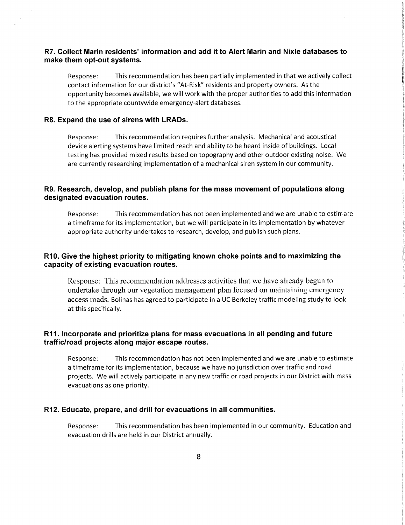### **R7. Collect Marin residents' information and add it to Alert Marin and Nixle databases to make them opt-out systems.**

Response: This recommendation has been partially implemented in that we actively collect contact information for our district's "At-Risk" residents and property owners. As the opportunity becomes available, we will work with the proper authorities to add this information to the appropriate countywide emergency-alert databases.

#### **R8. Expand the use of sirens with LRADs.**

Response: This recommendation requires further analysis. Mechanical and acoustical device alerting systems have limited reach and ability to be heard inside of buildings. Local testing has provided mixed results based on topography and other outdoor existing noise. We are currently researching implementation of a mechanical siren system in our community.

### **R9. Research, develop, and publish plans for the mass movement of populations along designated evacuation routes.**

Response: This recommendation has not been implemented and we are unable to estimate a timeframe for its implementation, but we will participate in its implementation by whatever appropriate authority undertakes to research, develop, and publish such plans.

## **R10. Give the highest priority to mitigating known choke points and to maximizing the capacity of existing evacuation routes.**

Response: This recommendation addresses activities that we have already begun to undertake through our vegetation management plan focused on maintaining emergency access roads. Bolinas has agreed to participate in a UC Berkeley traffic modeling study to look at this specifically.

## **R11. Incorporate and prioritize plans for mass evacuations in all pending and future traffic/road projects along major escape routes.**

Response: This recommendation has not been implemented and we are unable to estimate a timeframe for its implementation, because we have no jurisdiction over traffic and road projects. We will actively participate in any new traffic or road projects in our District with mass evacuations as one priority.

#### **R12. Educate, prepare, and drill for evacuations in all communities.**

Response: This recommendation has been implemented in our community. Education and evacuation drills are held in our District annually.